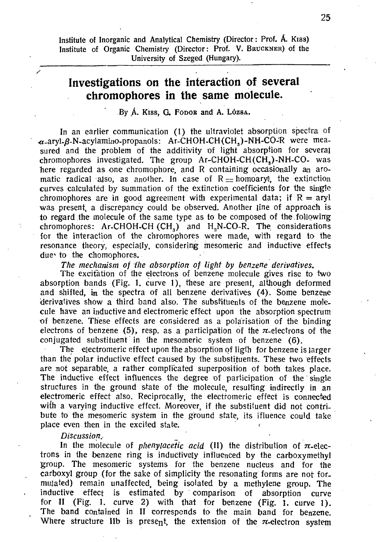Institute of Inorganic and Analytical Chemistry (Director : Prof. A. Kiss) Institute of Organic Chemistry (Director: Prof. V. BRUCKNER) of the University of Szeged (Hungary).

## **Investigations on the interaction of several chromophores in the same molecule.**

By A. Kiss, G. FODOR and A. LÓZSA.

In an earlier communication (1) the ultraviolet absorption spectra of  $\alpha$ -aryl- $\beta$ -N-acylamino-propanols: Ar-CHOH-CH(CH<sub>a</sub>)-NH-CO-R were measured and the problem of the additivity of light absorption for several  $chromophores$  investigated. The group  $Ar-CHOH-CH(CH_*)-NH-CO-$  was here regarded as one chromophore, and R containing occasionally an aromatic radical also, as another. In case of  $R =$  homoaryl, the extinction curves calculated by summation of the extinction coefficients for the single chromophores are in good agreement with experimental data; if  $R = aryI$ was present, a discrepancy could be observed. Another line of approach is to regard the molecule of the same type as to be composed of the.following chromophores: Ar-CHOH-CH  $(CH_3)$  and H<sub>3</sub>N-CO-R. The considerations for the interaction of the chromophores were made, with regard to the resonance theory, especially, considering mesomeric and inductive effects due to the chomophores.

*The mechanism of the absorption of light by benzene derivatives.* 

The excitation of the electrons of benzene molecule gives rise to two absorption bands (Fig. 1. curve 1), these are present, although deformed and shifted,  $\mathbf{r}_1$  the spectra of all benzene derivatives (4). Some benzene derivatives show a third band also. The substituents of the benzene molecule have an inductive and electromeric effect upon the absorption spectrum of benzene. These effects are considered as a polarisation of the binding electrons of benzene (5), resp. as a participation of the  $\pi$ -electrons of the conjugated substituent in the mesomeric system of benzene (6).

The electromeric effect upon the absorption of ligth for benzene is larger than the polar inductive effect caused by the substituents. These two effects are not separable, a rather complicated superposition of both takes place. The inductive effect influences the degree of participation of the single structures in the ground state of the molecule, resulting indirectly in an electromeric effect also. Reciprocally, the electromeric effect is connected with a varying inductive effect. Moreover, if the substituent did not contribute to the mesomeric system in the ground state, its ifluence could take place even then in the excited state.

#### Discussion.

In the molecule of *phenylacetic acid* (II) the distribution of  $\pi$ -electrons in the benzene ring is inductively influenced by the carboxymethyl group. The mesomeric systems for the benzene nucleus and for the carboxyl group (for the sake of simplicity the resonating forms are not for. mulated) remain unaffected, being isolated by a methylene group. The inductive effect is estimated by comparison of absorption curve inductive effect is estimated by comparison of absorption curve for II (Fig. 1. curve 2) with that for benzene (Fig. 1. curve 1). for II (Fig. 1. curve 2) with that for benzene (Fig. 1. curve 1). The band contained in II corresponds to the main band for benzene.<br>Where structure lib is present the extension of the melectron cyclom Where structure IIb is present, the extension of the  $\pi$ -electron system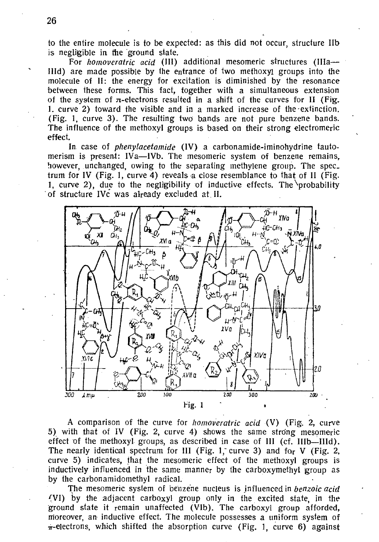to the entire molecule is to be expected: as this did not occur, structure IIb is negligible in the ground state.

For homoveratric acid (III) additional mesomeric structures (IIIa-IIId) are made possible by the entrance of two methoxyl groups into the molecule of II: the energy for excitation is diminished by the resonance between these forms. This fact, together with a simultaneous extension of the system of  $\pi$ -electrons resulted in a shift of the curves for II (Fig. 1. curve 2) toward the visible and in a marked increase of the extinction. (Fig. 1, curve 3). The resulting two bands are not pure benzene bands. The influence of the methoxyl groups is based on their strong electromeric effect.

In case of *phenylacetamide* (IV) a carbonamide-iminohydrine tautomerism is present: IVa—IVb. The mesomeric system of benzene remains, however, unchanged, owing to the separating methylene group. The spec. trum for IV (Fig. 1, curve 4) reveals a close resemblance to that of II (Fig. 1, curve 2), due to the negligibility of inductive effects. The probability of structure IVc was already excluded at II.



A comparison of the curve for homoveratric acid (V) (Fig. 2, curve 5) with that of IV (Fig. 2, curve 4) shows the same strong mesomeric effect of the methoxyl groups, as described in case of III (cf. IIIb-IIId). The nearly identical spectrum for III (Fig. 1, curve 3) and for  $V$  (Fig. 2, curve 5) indicates, that the mesomeric effect of the methoxyl groups is inductively influenced in the same manner by the carboxymethyl group as by the carbonamidomethyl radical.

The mesomeric system of benzene nucleus is influenced in *benzoic acid* (VI) by the adjacent carboxyl group only in the excited state, in the ground state it remain unaffected (VIb). The carboxyl group afforded. moreover, an inductive effect. The molecule possesses a uniform system of  $\pi$ -electrons, which shifted the absorption curve (Fig. 1, curve 6) against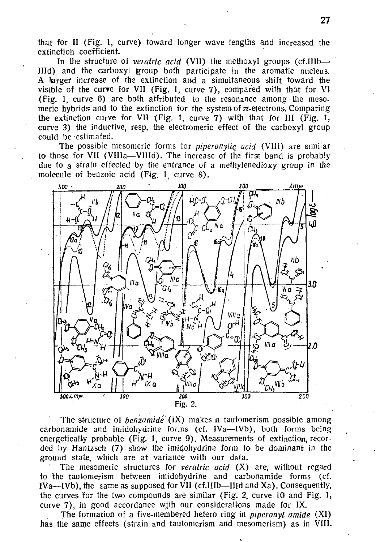that for II (Fig. 1, curve) toward longer wave lengths and increased the extinction coefficient.

In the structure of *veiatric acid* (VII) the methoxyl groups (cf.IIIb— $\rightarrow$ IHd) and the carboxyl group both participate in the aromatic nucleus. A larger increase of the extinction and a simultaneous shift toward the visible of the curve for VII (Fig. 1, curve 7), compared with that for VI (Fig. 1, curve 6) are both attributed to the resonance among the mesomeric hybrids and to the extinction for the system of  $\pi$ -electrons. Comparing the extinction curve for VII (Fig. 1, curve 7) with that for III (Fig. 1, curve 3) the inductive, resp. the electromeric effect of the carboxyl group could be estimated.

The possible mesomeric forms for *piperonylic acid* (VIII) are similar to those for VII (VIIIa—VIIId). The increase of the first band is probably due to a strain, effected by the entrance of a methylenedioxy group in the molecule of benzoic acid (Fig. 1, curve 8).



The structure of *benzamide* (IX) makes a tautomerism possible among carbonamide and imidohyarine forms (cf. IVa—IVb), both forms being energetically probable (Fig. 1, curve 9). Measurements of extinction, recorded by Hantzsch (7) show the imidohydrine form to be dominant in the ground state, which are at variance with our data.

The mesomeric structures for *veratric acid* (X) are, without regard to the tautomerism between imidohydrine and carbonamide forms (cf. IVa—IVb), the same as supposed for VII (cf.IIIb—IHd and Xa). Consequently, the curves for the two compounds are similar (Fig. 2, curve 10 and Fig. 1, curve 7), in good accordance with our considerations made for IX.

The formation of a five-membered hetero ring in *piperonyl amide* (XI) has the same effects (strain and tautomerism. and mesomerism) as in VIII.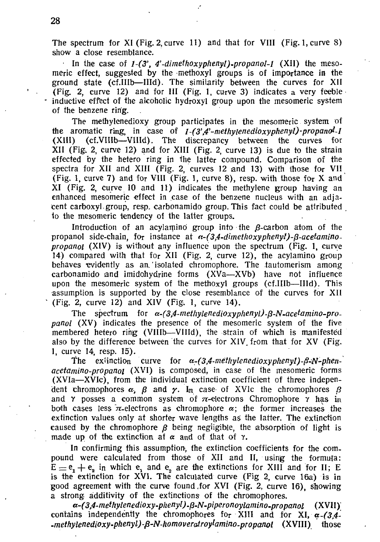The spectrum for XI (Fig. 2, curve 11) and that for VIII (Fig. 1, curve 8) show a close resemblance.

• In the case of *l-(3\ 4'-dimelhoxyphenyl).propanol-l* (XII) the mesomeric effect, suggested by the methoxyl groups is of importance in the ground state (cf.IIIb—IHd). The similarity between the curves for XII (Fig. 2, curve 12) and for III (Fig. 1, curve 3) indicates a very feeble inductive effect of the alcoholic hydroxyl group upon the mesomeric system of the benzene ring.

The methylenedioxy group participates in the mesomeric system of the aromatic ring, in case of *l-(3',4'-methylenedioxy phenyl)-propano^-1*  (XIII) (cf.VIIIb—VHId). The discrepancy between the curves for XII (Fig. 2, curve 12) and for XIII (Fig. 2, curve 13) is due to the strain effected by the hetero ring in the latter compound. Comparison of the spectra for XII and XIII (Fig. 2, curves 12 and 13) with those for VII (Fig. 1, curve 7) and for VIII (Fig. 1, curve 8), resp. with those for X and XI (Fig. 2, curve 10 and 11) indicates the methylene group having an enhanced mesomeric effect in case of the benzene nucleus with an adjacent carboxyl group, resp. carbonamido group. This fact could be attributed , to the mesomeric tendency of the latter groups.

Introduction of an acylamino group into the  $\beta$ -carbon atom of the propanol side-chain, for instance at  $\alpha$ -(3,4-dimethoxyphenyl)- $\beta$ -acetamino*propanol* (XIV) is without any influence upon the spectrum (Fig. 1, curve 14) compared with that for XII (Fig. 2, curve 12), the acylamino group behaves evidently as an.' isolated chromophore. The tautomerism among carbonamido and imidohydrine forms (XVa—XVb) have not influence upon the mesomeric system of the methoxyl groups (cf.IIIb—IHd). This assumption is supported by the close resemblance of the curves for XII (Fig. 2, curve 12) and XIV (Fig. 1, curve 14).

The spectrum for  $\alpha$ -(3,4-methylenedioxyphenyl)-B-N-acetamino-pro*panol* (XV) indicates the presence of the mesomeric system of the five membered hetero ring (VHIb—VHId), the strain of which is manifested also by the difference between the curves for  $XIV$  from that for  $XV$  (Fig. 1, curve 14, resp. 15).

The extinction curve for  $\alpha$ -(3,4-methylenedioxyphenyl)- $\beta$ -N-phen*acetamino-propanoi* (XVI) is composed, in case of the mesomeric forms (XVIa—XVIc), from the individual extinction coefficient of three independent chromophores  $\alpha$ ,  $\beta$  and  $\gamma$ . In case of XVIc the chromophores  $\beta$ and  $\gamma$  posses a common system of  $\pi$ -electrons Chromophore  $\gamma$  has in both cases less  $\pi$ -electrons as chromophore  $\alpha$ ; the former increases the extinction values only at shorter wave lengths as the latter. The extinction caused by the chromophore  $\beta$  being negligible, the absorption of light is made up of the extinction af  $\alpha$  and of that of  $\gamma$ .

In confirming this assumption, the extinction coefficients for the compound were calculated from those of XII and II, using the formula:  $E = e_1 + e_2$  in which e, and e<sub>2</sub> are the extinctions for XIII and for II; E is the extinction for XVI. The calculated curve (Fig 2, curve 16a) is in good agreement with the curve found ,for XVI (Fig. 2, curve 16), showing a strong additivity of the extinctions of the chromophores.

*a-(3,4-methylenedioxy-phenyl).fi-N-piperonoylamino-propanol* (XVII) contains independently the chromophores for XIII and for XI, *a-(3,4- .methylenedioxy-phenyl)-fi-N-homoverairoylamino-propanol* (XVIII) those

1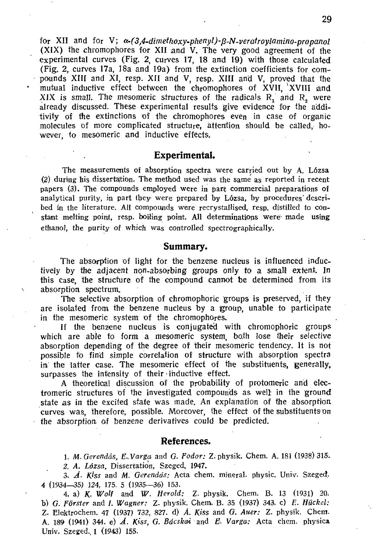for XII and for V;  $\alpha$ -(3,4-dimethoxy-phenyl)- $\beta$ -N-veratroylamino-propanol (XIX) the chromophores for XII and V. The very good agreement of the experimental curves (Fig. 2, curves 17, 18 and 19) with those calculated (Fig. 2, curves 17a, 18a and 19a) from the extinction coefficients for compounds XIII and XI, resp. XII and V, resp. XIII and V, proved that the mutual inductive effect between the chromophores of XVII, <sup>1</sup>XVIII and XIX is small. The mesomeric structures of the radicals  $R_1$  and  $R_2$  were already discussed. These experimental results give evidence for the a'dditivity of the extinctions of the chromophores even in case of organic molecules of more complicated structure, attention should be called, however, to mesomeric and inductive effects.

#### **Experimental.**

The measurements of absorption spectra were carried out by A. Lózsa (2) during his dissertation. The method used was the same as reported in recent papers (3). The compounds employed were in part commercial preparations of analytical purity, in part they were prepared by Lózsa, by procedures' described in the literature. AH compounds were recrystallised, resp. distilled to constant melting point, resp. boiling point. All determinations were- made using ethanol, the purity of which was controlled spectrographically.

#### **Summary.**

The absorption of light for the benzene nucleus is influenced inductively by the adjacent non-absorbing groups only to a small extent. In this case, the structure of the compound cannot be determined from its absorption spectrum,.

The selective absorption of chromophoric groups is preserved, if they are isolated from the benzene nucleus by a group, unable to participate in the mesomeric system of the chromophores.

If the benzene nucleus is conjugated with chromophoric groups which are able to form a mesomeric system, both lose their selective absorption depending of the degree of their mesomeric tendency. It is not possible to find simple correlation of structure with absorption spectra ini the latter case. The mesomeric effect of the substituents, generally, surpasses the intensity of their inductive effect.

A theoretical discussion of the probability of protomeric and electromeric structures of the investigated compounds as well in the ground state as in the excited state was made. An explanation of the absorption curves was, therefore, possible. Moreover, the effect of the substituents on the absorption, of benzene derivatives could be predicted.

### **References.**

*1. M. Gerendás, E., Varga* and *G. Fodor:* Z. physik. Chem. A. 181 (1938) 315.

*2. A. Lózsa,* Dissertation, Szeged, 1947.

3. *A. K'ss* and *M. Gerendás:* Acta chem. mineral, physic. Univ. Szeged. 4 (1934—35) 124, 175. 5 (1935—36) 153.

4. a) *K- Wolf* and *W. Herold:* Z. physik. Chem. B. 13 (1931) 20. b) *G. Förster* and /. *Wagner:* Z. physik. Chem. B. 35 (1937) 343. c) *E. Hückel:*  Z. Elaktrochem. 47 (1937) 732, 827. d) *Á. Kiss* and *G. Auer: Z.* physik. Chem. A. 189 (1941) 344. e) *A. Kiss, G. Bácskai* and *E- Varga:* Acta chem. physica Univ. Szeged. 1 (1943) 155.